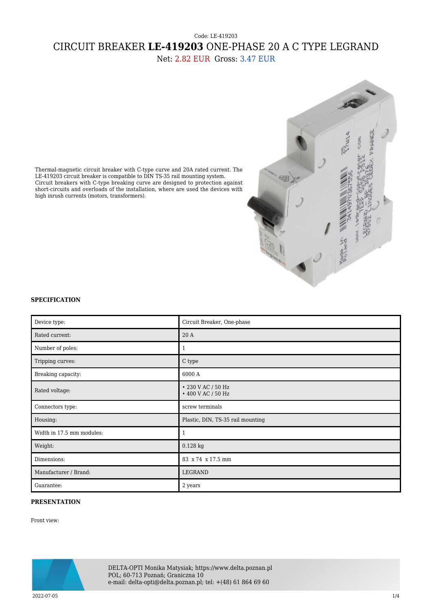## Code: LE-419203 CIRCUIT BREAKER **LE-419203** ONE-PHASE 20 A C TYPE LEGRAND

Net: 2.82 EUR Gross: 3.47 EUR



Thermal-magnetic circuit breaker with C-type curve and 20A rated current. The LE-419203 circuit breaker is compatible to DIN TS-35 rail mounting system. Circuit breakers with C-type breaking curve are designed to protection against short-circuits and overloads of the installation, where are used the devices with high inrush currents (motors, transformers).

## **SPECIFICATION**

| Device type:              | Circuit Breaker, One-phase               |
|---------------------------|------------------------------------------|
| Rated current:            | 20A                                      |
| Number of poles:          | $\mathbf{1}$                             |
| Tripping curves:          | $\mathrm C$ type                         |
| Breaking capacity:        | 6000 A                                   |
| Rated voltage:            | • 230 V AC / 50 Hz<br>• 400 V AC / 50 Hz |
| Connectors type:          | screw terminals                          |
| Housing:                  | Plastic, DIN, TS-35 rail mounting        |
| Width in 17.5 mm modules: | $\mathbf{1}$                             |
| Weight:                   | 0.128 kg                                 |
| Dimensions:               | 83 x 74 x 17.5 mm                        |
| Manufacturer / Brand:     | LEGRAND                                  |
| Guarantee:                | 2 years                                  |

## **PRESENTATION**

Front view:



DELTA-OPTI Monika Matysiak; https://www.delta.poznan.pl POL; 60-713 Poznań; Graniczna 10 e-mail: delta-opti@delta.poznan.pl; tel: +(48) 61 864 69 60

2022-07-05 1/4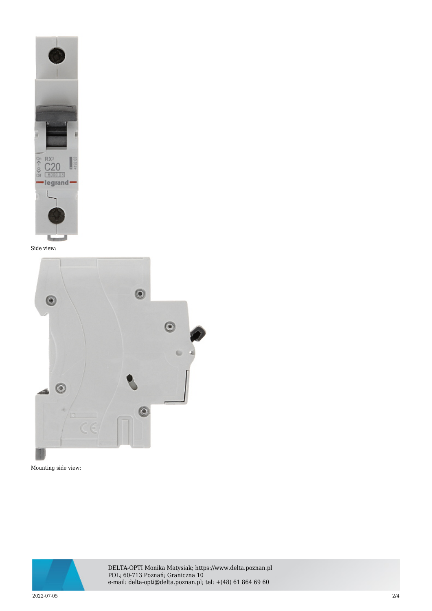

Side view:



Mounting side view:



DELTA-OPTI Monika Matysiak; https://www.delta.poznan.pl POL; 60-713 Poznań; Graniczna 10 e-mail: delta-opti@delta.poznan.pl; tel: +(48) 61 864 69 60

2022-07-05 2/4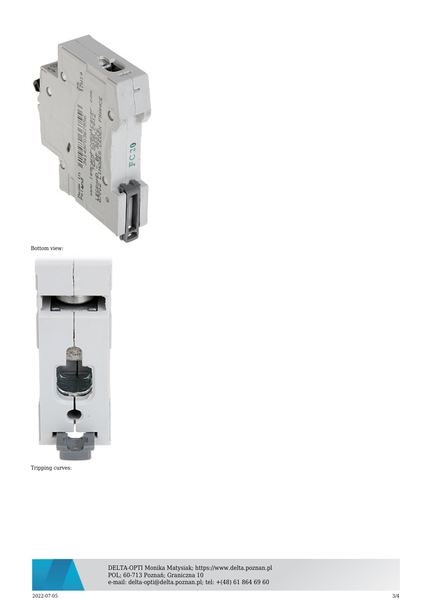

Bottom view:



Tripping curves:



DELTA-OPTI Monika Matysiak; https://www.delta.poznan.pl POL; 60-713 Poznań; Graniczna 10 e-mail: delta-opti@delta.poznan.pl; tel: +(48) 61 864 69 60

2022-07-05 3/4